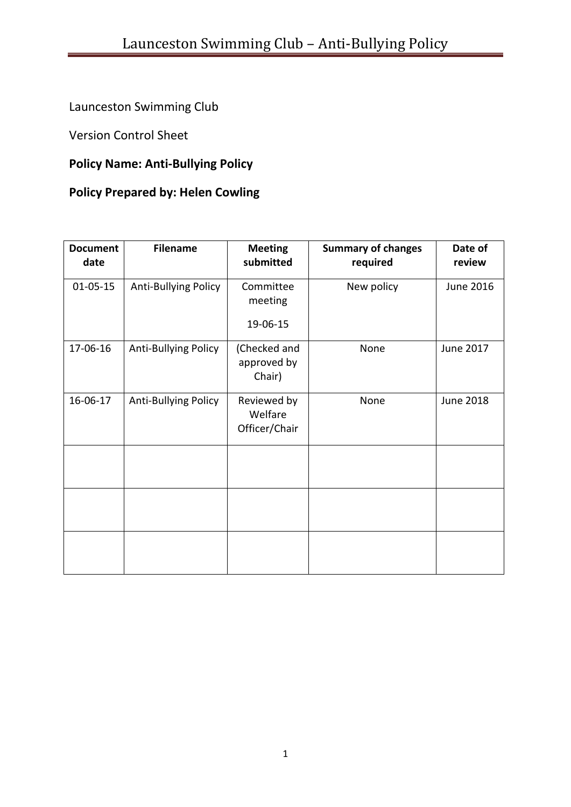# Launceston Swimming Club

Version Control Sheet

# **Policy Name: Anti-Bullying Policy**

# **Policy Prepared by: Helen Cowling**

| <b>Document</b><br>date | <b>Filename</b>      | <b>Meeting</b><br>submitted             | <b>Summary of changes</b><br>required | Date of<br>review |
|-------------------------|----------------------|-----------------------------------------|---------------------------------------|-------------------|
| $01 - 05 - 15$          | Anti-Bullying Policy | Committee<br>meeting                    | New policy                            | June 2016         |
|                         |                      | 19-06-15                                |                                       |                   |
| 17-06-16                | Anti-Bullying Policy | (Checked and<br>approved by<br>Chair)   | None                                  | June 2017         |
| 16-06-17                | Anti-Bullying Policy | Reviewed by<br>Welfare<br>Officer/Chair | None                                  | <b>June 2018</b>  |
|                         |                      |                                         |                                       |                   |
|                         |                      |                                         |                                       |                   |
|                         |                      |                                         |                                       |                   |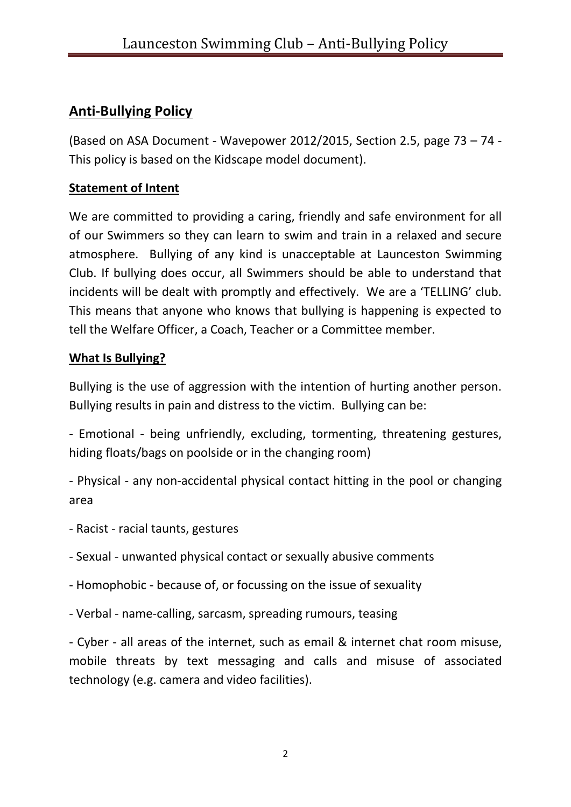# **Anti-Bullying Policy**

(Based on ASA Document - Wavepower 2012/2015, Section 2.5, page 73 – 74 - This policy is based on the Kidscape model document).

## **Statement of Intent**

We are committed to providing a caring, friendly and safe environment for all of our Swimmers so they can learn to swim and train in a relaxed and secure atmosphere. Bullying of any kind is unacceptable at Launceston Swimming Club. If bullying does occur, all Swimmers should be able to understand that incidents will be dealt with promptly and effectively. We are a 'TELLING' club. This means that anyone who knows that bullying is happening is expected to tell the Welfare Officer, a Coach, Teacher or a Committee member.

## **What Is Bullying?**

Bullying is the use of aggression with the intention of hurting another person. Bullying results in pain and distress to the victim. Bullying can be:

- Emotional - being unfriendly, excluding, tormenting, threatening gestures, hiding floats/bags on poolside or in the changing room)

- Physical - any non-accidental physical contact hitting in the pool or changing area

- Racist racial taunts, gestures
- Sexual unwanted physical contact or sexually abusive comments
- Homophobic because of, or focussing on the issue of sexuality
- Verbal name-calling, sarcasm, spreading rumours, teasing

- Cyber - all areas of the internet, such as email & internet chat room misuse, mobile threats by text messaging and calls and misuse of associated technology (e.g. camera and video facilities).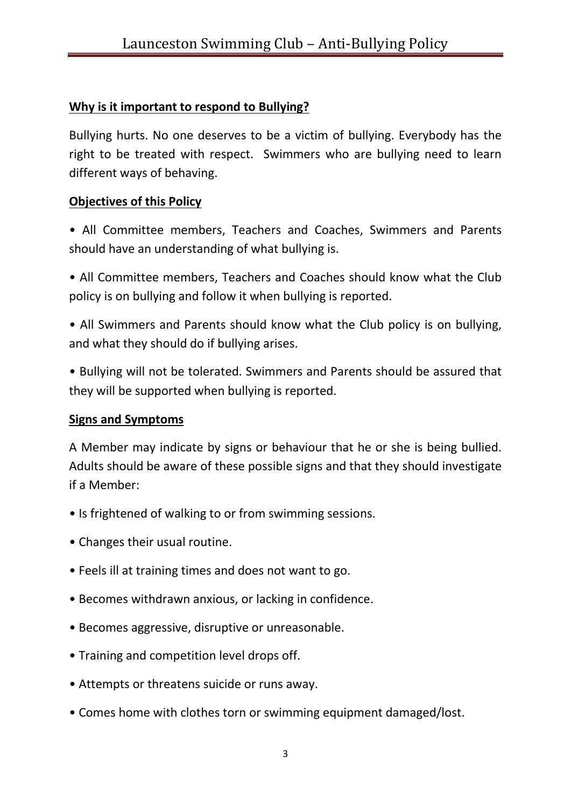## **Why is it important to respond to Bullying?**

Bullying hurts. No one deserves to be a victim of bullying. Everybody has the right to be treated with respect. Swimmers who are bullying need to learn different ways of behaving.

#### **Objectives of this Policy**

• All Committee members, Teachers and Coaches, Swimmers and Parents should have an understanding of what bullying is.

• All Committee members, Teachers and Coaches should know what the Club policy is on bullying and follow it when bullying is reported.

• All Swimmers and Parents should know what the Club policy is on bullying, and what they should do if bullying arises.

• Bullying will not be tolerated. Swimmers and Parents should be assured that they will be supported when bullying is reported.

#### **Signs and Symptoms**

A Member may indicate by signs or behaviour that he or she is being bullied. Adults should be aware of these possible signs and that they should investigate if a Member:

- Is frightened of walking to or from swimming sessions.
- Changes their usual routine.
- Feels ill at training times and does not want to go.
- Becomes withdrawn anxious, or lacking in confidence.
- Becomes aggressive, disruptive or unreasonable.
- Training and competition level drops off.
- Attempts or threatens suicide or runs away.
- Comes home with clothes torn or swimming equipment damaged/lost.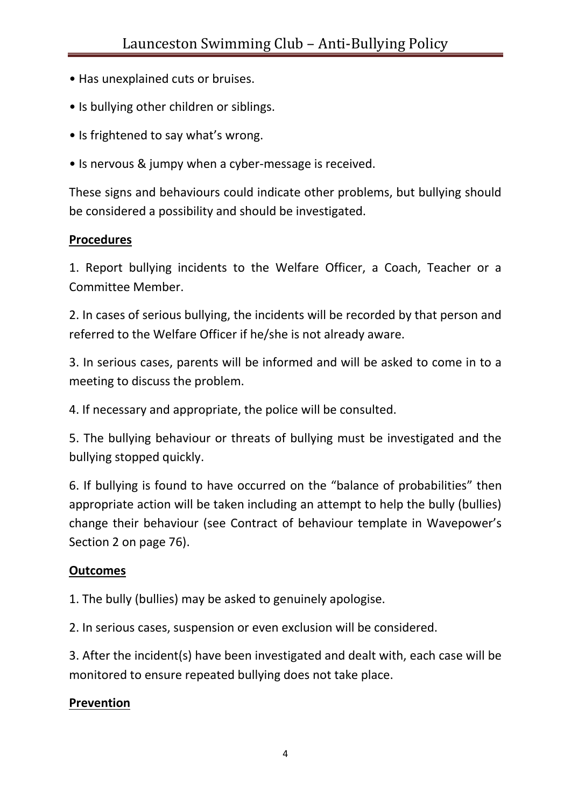- Has unexplained cuts or bruises.
- Is bullying other children or siblings.
- Is frightened to say what's wrong.
- Is nervous & jumpy when a cyber-message is received.

These signs and behaviours could indicate other problems, but bullying should be considered a possibility and should be investigated.

#### **Procedures**

1. Report bullying incidents to the Welfare Officer, a Coach, Teacher or a Committee Member.

2. In cases of serious bullying, the incidents will be recorded by that person and referred to the Welfare Officer if he/she is not already aware.

3. In serious cases, parents will be informed and will be asked to come in to a meeting to discuss the problem.

4. If necessary and appropriate, the police will be consulted.

5. The bullying behaviour or threats of bullying must be investigated and the bullying stopped quickly.

6. If bullying is found to have occurred on the "balance of probabilities" then appropriate action will be taken including an attempt to help the bully (bullies) change their behaviour (see Contract of behaviour template in Wavepower's Section 2 on page 76).

#### **Outcomes**

1. The bully (bullies) may be asked to genuinely apologise.

2. In serious cases, suspension or even exclusion will be considered.

3. After the incident(s) have been investigated and dealt with, each case will be monitored to ensure repeated bullying does not take place.

#### **Prevention**